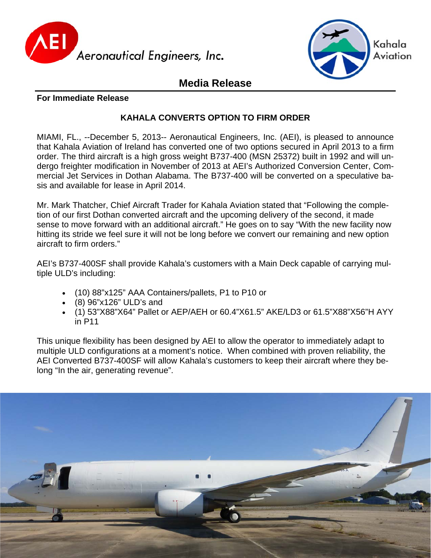



# **Media Release**

### **For Immediate Release**

## **KAHALA CONVERTS OPTION TO FIRM ORDER**

MIAMI, FL., --December 5, 2013-- Aeronautical Engineers, Inc. (AEI), is pleased to announce that Kahala Aviation of Ireland has converted one of two options secured in April 2013 to a firm order. The third aircraft is a high gross weight B737-400 (MSN 25372) built in 1992 and will undergo freighter modification in November of 2013 at AEI's Authorized Conversion Center, Commercial Jet Services in Dothan Alabama. The B737-400 will be converted on a speculative basis and available for lease in April 2014.

Mr. Mark Thatcher, Chief Aircraft Trader for Kahala Aviation stated that "Following the completion of our first Dothan converted aircraft and the upcoming delivery of the second, it made sense to move forward with an additional aircraft." He goes on to say "With the new facility now hitting its stride we feel sure it will not be long before we convert our remaining and new option aircraft to firm orders."

AEI's B737-400SF shall provide Kahala's customers with a Main Deck capable of carrying multiple ULD's including:

- (10) 88"x125" AAA Containers/pallets, P1 to P10 or
- (8) 96"x126" ULD's and
- (1) 53"X88"X64" Pallet or AEP/AEH or 60.4"X61.5" AKE/LD3 or 61.5"X88"X56"H AYY in P11

This unique flexibility has been designed by AEI to allow the operator to immediately adapt to multiple ULD configurations at a moment's notice. When combined with proven reliability, the AEI Converted B737-400SF will allow Kahala's customers to keep their aircraft where they belong "In the air, generating revenue".